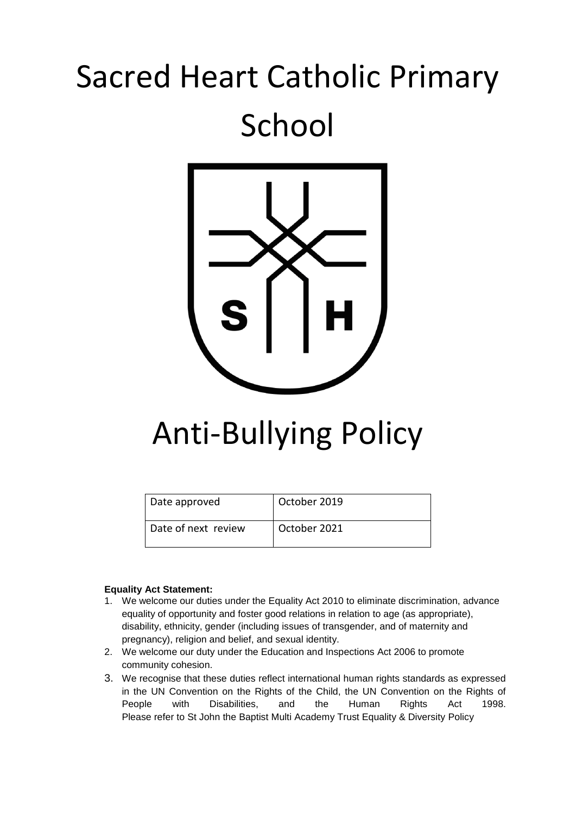# Sacred Heart Catholic Primary School



# Anti-Bullying Policy

| Date approved       | October 2019 |
|---------------------|--------------|
| Date of next review | October 2021 |

#### **Equality Act Statement:**

- 1. We welcome our duties under the Equality Act 2010 to eliminate discrimination, advance equality of opportunity and foster good relations in relation to age (as appropriate), disability, ethnicity, gender (including issues of transgender, and of maternity and pregnancy), religion and belief, and sexual identity.
- 2. We welcome our duty under the Education and Inspections Act 2006 to promote community cohesion.
- 3. We recognise that these duties reflect international human rights standards as expressed in the UN Convention on the Rights of the Child, the UN Convention on the Rights of People with Disabilities, and the Human Rights Act 1998. Please refer to St John the Baptist Multi Academy Trust Equality & Diversity Policy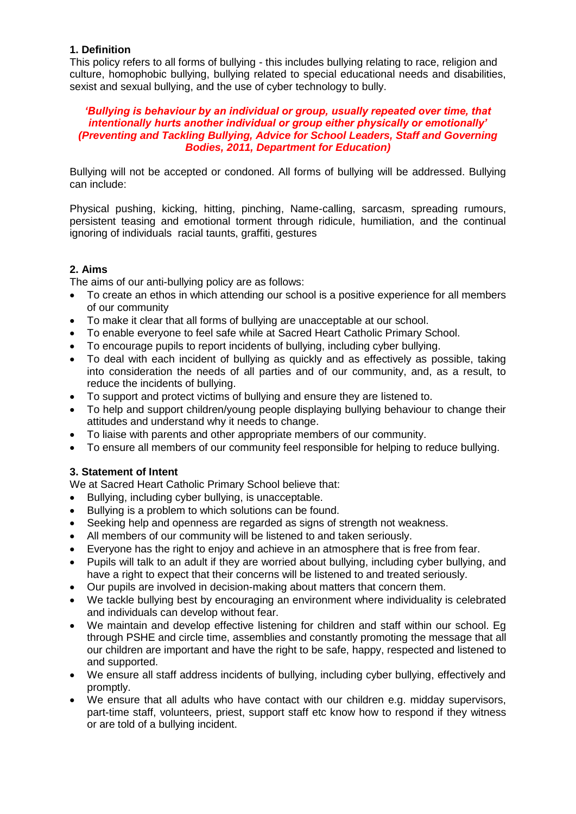# **1. Definition**

This policy refers to all forms of bullying - this includes bullying relating to race, religion and culture, homophobic bullying, bullying related to special educational needs and disabilities, sexist and sexual bullying, and the use of cyber technology to bully.

#### *'Bullying is behaviour by an individual or group, usually repeated over time, that intentionally hurts another individual or group either physically or emotionally' (Preventing and Tackling Bullying, Advice for School Leaders, Staff and Governing Bodies, 2011, Department for Education)*

Bullying will not be accepted or condoned. All forms of bullying will be addressed. Bullying can include:

Physical pushing, kicking, hitting, pinching, Name-calling, sarcasm, spreading rumours, persistent teasing and emotional torment through ridicule, humiliation, and the continual ignoring of individuals racial taunts, graffiti, gestures

# **2. Aims**

The aims of our anti-bullying policy are as follows:

- To create an ethos in which attending our school is a positive experience for all members of our community
- To make it clear that all forms of bullying are unacceptable at our school.
- To enable everyone to feel safe while at Sacred Heart Catholic Primary School.
- To encourage pupils to report incidents of bullying, including cyber bullying.
- To deal with each incident of bullying as quickly and as effectively as possible, taking into consideration the needs of all parties and of our community, and, as a result, to reduce the incidents of bullying.
- To support and protect victims of bullying and ensure they are listened to.
- To help and support children/young people displaying bullying behaviour to change their attitudes and understand why it needs to change.
- To liaise with parents and other appropriate members of our community.
- To ensure all members of our community feel responsible for helping to reduce bullying.

# **3. Statement of Intent**

We at Sacred Heart Catholic Primary School believe that:

- Bullying, including cyber bullying, is unacceptable.
- Bullying is a problem to which solutions can be found.
- Seeking help and openness are regarded as signs of strength not weakness.
- All members of our community will be listened to and taken seriously.
- Everyone has the right to enjoy and achieve in an atmosphere that is free from fear.
- Pupils will talk to an adult if they are worried about bullying, including cyber bullying, and have a right to expect that their concerns will be listened to and treated seriously.
- Our pupils are involved in decision-making about matters that concern them.
- We tackle bullying best by encouraging an environment where individuality is celebrated and individuals can develop without fear.
- We maintain and develop effective listening for children and staff within our school. Eg through PSHE and circle time, assemblies and constantly promoting the message that all our children are important and have the right to be safe, happy, respected and listened to and supported.
- We ensure all staff address incidents of bullying, including cyber bullying, effectively and promptly.
- We ensure that all adults who have contact with our children e.g. midday supervisors, part-time staff, volunteers, priest, support staff etc know how to respond if they witness or are told of a bullying incident.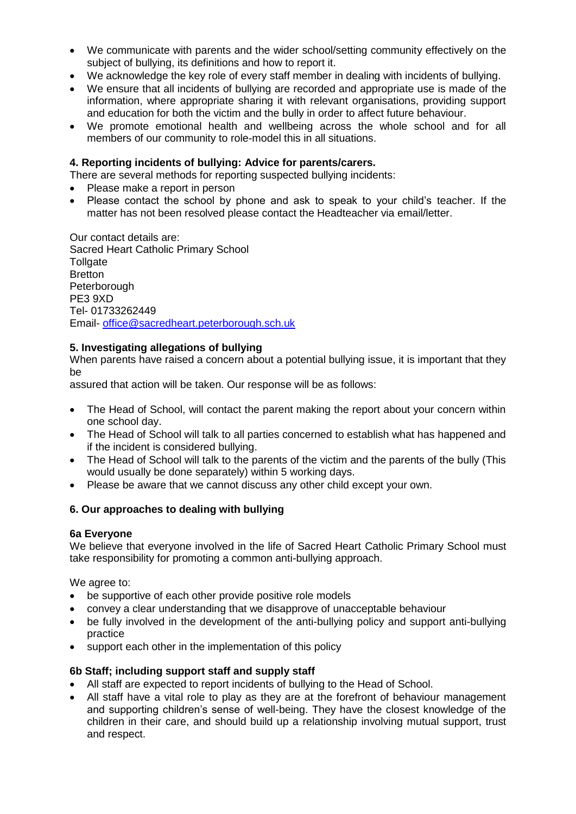- We communicate with parents and the wider school/setting community effectively on the subject of bullying, its definitions and how to report it.
- We acknowledge the key role of every staff member in dealing with incidents of bullying.
- We ensure that all incidents of bullying are recorded and appropriate use is made of the information, where appropriate sharing it with relevant organisations, providing support and education for both the victim and the bully in order to affect future behaviour.
- We promote emotional health and wellbeing across the whole school and for all members of our community to role-model this in all situations.

## **4. Reporting incidents of bullying: Advice for parents/carers.**

There are several methods for reporting suspected bullying incidents:

- Please make a report in person
- Please contact the school by phone and ask to speak to your child's teacher. If the matter has not been resolved please contact the Headteacher via email/letter.

Our contact details are: Sacred Heart Catholic Primary School **Tollgate Bretton Peterborough** PE3 9XD Tel- 01733262449 Email- [office@sacredheart.peterborough.sch.uk](mailto:office@sacredheart.peterborough.sch.uk)

#### **5. Investigating allegations of bullying**

When parents have raised a concern about a potential bullying issue, it is important that they be

assured that action will be taken. Our response will be as follows:

- The Head of School, will contact the parent making the report about your concern within one school day.
- The Head of School will talk to all parties concerned to establish what has happened and if the incident is considered bullying.
- The Head of School will talk to the parents of the victim and the parents of the bully (This would usually be done separately) within 5 working days.
- Please be aware that we cannot discuss any other child except your own.

#### **6. Our approaches to dealing with bullying**

#### **6a Everyone**

We believe that everyone involved in the life of Sacred Heart Catholic Primary School must take responsibility for promoting a common anti-bullying approach.

We agree to:

- be supportive of each other provide positive role models
- convey a clear understanding that we disapprove of unacceptable behaviour
- be fully involved in the development of the anti-bullying policy and support anti-bullying practice
- support each other in the implementation of this policy

#### **6b Staff; including support staff and supply staff**

- All staff are expected to report incidents of bullying to the Head of School.
- All staff have a vital role to play as they are at the forefront of behaviour management and supporting children's sense of well-being. They have the closest knowledge of the children in their care, and should build up a relationship involving mutual support, trust and respect.